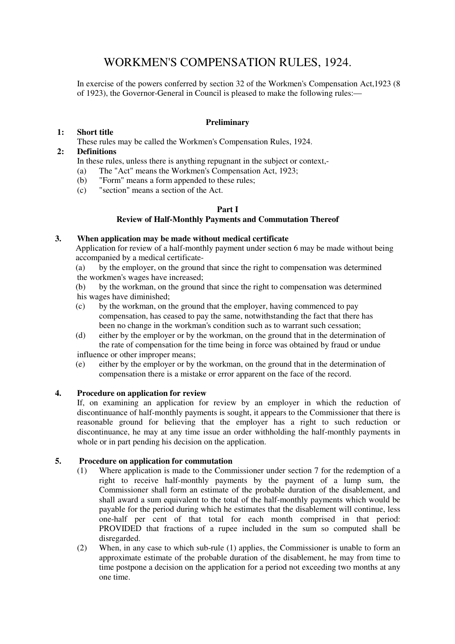# WORKMEN'S COMPENSATION RULES, 1924.

In exercise of the powers conferred by section 32 of the Workmen's Compensation Act,1923 (8 of 1923), the Governor-General in Council is pleased to make the following rules:—

# **Preliminary**

# **1: Short title**

These rules may be called the Workmen's Compensation Rules, 1924.

## **2: Definitions**

In these rules, unless there is anything repugnant in the subject or context,-

- (a) The "Act" means the Workmen's Compensation Act, 1923;
- (b) "Form" means a form appended to these rules;
- (c) "section" means a section of the Act.

#### **Part I**

# **Review of Half-Monthly Payments and Commutation Thereof**

# **3. When application may be made without medical certificate**

Application for review of a half-monthly payment under section 6 may be made without being accompanied by a medical certificate-

(a) by the employer, on the ground that since the right to compensation was determined the workmen's wages have increased;

(b) by the workman, on the ground that since the right to compensation was determined his wages have diminished;

- (c) by the workman, on the ground that the employer, having commenced to pay compensation, has ceased to pay the same, notwithstanding the fact that there has been no change in the workman's condition such as to warrant such cessation;
- (d) either by the employer or by the workman, on the ground that in the determination of the rate of compensation for the time being in force was obtained by fraud or undue influence or other improper means;
- (e) either by the employer or by the workman, on the ground that in the determination of compensation there is a mistake or error apparent on the face of the record.

#### **4. Procedure on application for review**

If, on examining an application for review by an employer in which the reduction of discontinuance of half-monthly payments is sought, it appears to the Commissioner that there is reasonable ground for believing that the employer has a right to such reduction or discontinuance, he may at any time issue an order withholding the half-monthly payments in whole or in part pending his decision on the application.

# **5. Procedure on application for commutation**

- (1) Where application is made to the Commissioner under section 7 for the redemption of a right to receive half-monthly payments by the payment of a lump sum, the Commissioner shall form an estimate of the probable duration of the disablement, and shall award a sum equivalent to the total of the half-monthly payments which would be payable for the period during which he estimates that the disablement will continue, less one-half per cent of that total for each month comprised in that period: PROVIDED that fractions of a rupee included in the sum so computed shall be disregarded.
- (2) When, in any case to which sub-rule (1) applies, the Commissioner is unable to form an approximate estimate of the probable duration of the disablement, he may from time to time postpone a decision on the application for a period not exceeding two months at any one time.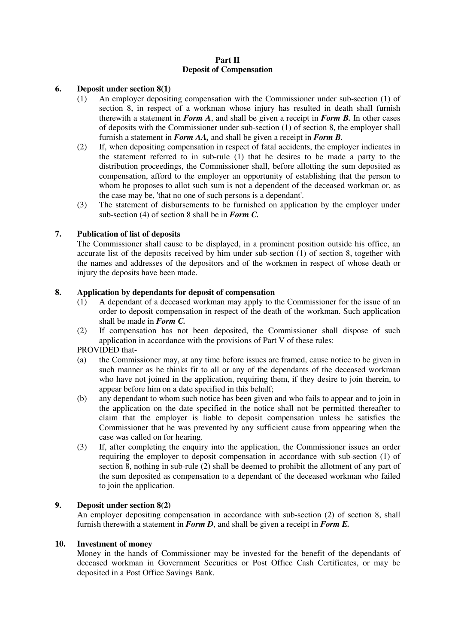#### **Part II Deposit of Compensation**

#### **6. Deposit under section 8(1)**

- (1) An employer depositing compensation with the Commissioner under sub-section (1) of section 8, in respect of a workman whose injury has resulted in death shall furnish therewith a statement in *Form A*, and shall be given a receipt in *Form B.* In other cases of deposits with the Commissioner under sub-section (1) of section 8, the employer shall furnish a statement in *Form AA,* and shall be given a receipt in *Form B.*
- (2) If, when depositing compensation in respect of fatal accidents, the employer indicates in the statement referred to in sub-rule (1) that he desires to be made a party to the distribution proceedings, the Commissioner shall, before allotting the sum deposited as compensation, afford to the employer an opportunity of establishing that the person to whom he proposes to allot such sum is not a dependent of the deceased workman or, as the case may be, 'that no one of such persons is a dependant'.
- (3) The statement of disbursements to be furnished on application by the employer under sub-section (4) of section 8 shall be in *Form C.*

#### **7. Publication of list of deposits**

The Commissioner shall cause to be displayed, in a prominent position outside his office, an accurate list of the deposits received by him under sub-section (1) of section 8, together with the names and addresses of the depositors and of the workmen in respect of whose death or injury the deposits have been made.

#### **8. Application by dependants for deposit of compensation**

- (1) A dependant of a deceased workman may apply to the Commissioner for the issue of an order to deposit compensation in respect of the death of the workman. Such application shall be made in *Form C.*
- (2) If compensation has not been deposited, the Commissioner shall dispose of such application in accordance with the provisions of Part V of these rules:

#### PROVIDED that-

- (a) the Commissioner may, at any time before issues are framed, cause notice to be given in such manner as he thinks fit to all or any of the dependants of the deceased workman who have not joined in the application, requiring them, if they desire to join therein, to appear before him on a date specified in this behalf;
- (b) any dependant to whom such notice has been given and who fails to appear and to join in the application on the date specified in the notice shall not be permitted thereafter to claim that the employer is liable to deposit compensation unless he satisfies the Commissioner that he was prevented by any sufficient cause from appearing when the case was called on for hearing.
- (3) If, after completing the enquiry into the application, the Commissioner issues an order requiring the employer to deposit compensation in accordance with sub-section (1) of section 8, nothing in sub-rule (2) shall be deemed to prohibit the allotment of any part of the sum deposited as compensation to a dependant of the deceased workman who failed to join the application.

#### **9. Deposit under section 8(2)**

An employer depositing compensation in accordance with sub-section (2) of section 8, shall furnish therewith a statement in *Form D*, and shall be given a receipt in *Form E.*

#### **10. Investment of money**

Money in the hands of Commissioner may be invested for the benefit of the dependants of deceased workman in Government Securities or Post Office Cash Certificates, or may be deposited in a Post Office Savings Bank.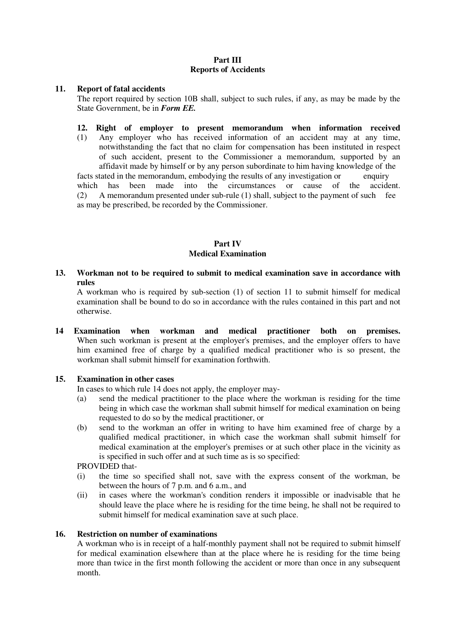#### **Part III Reports of Accidents**

#### **11. Report of fatal accidents**

The report required by section 10B shall, subject to such rules, if any, as may be made by the State Government, be in *Form EE.*

# **12. Right of employer to present memorandum when information received**

(1) Any employer who has received information of an accident may at any time, notwithstanding the fact that no claim for compensation has been instituted in respect of such accident, present to the Commissioner a memorandum, supported by an affidavit made by himself or by any person subordinate to him having knowledge of the facts stated in the memorandum, embodying the results of any investigation or enquiry which has been made into the circumstances or cause of the accident. which has been made into the circumstances or cause of (2) A memorandum presented under sub-rule (1) shall, subject to the payment of such fee

as may be prescribed, be recorded by the Commissioner.

# **Part IV Medical Examination**

**13. Workman not to be required to submit to medical examination save in accordance with rules** 

A workman who is required by sub-section (1) of section 11 to submit himself for medical examination shall be bound to do so in accordance with the rules contained in this part and not otherwise.

**14 Examination when workman and medical practitioner both on premises.** When such workman is present at the employer's premises, and the employer offers to have him examined free of charge by a qualified medical practitioner who is so present, the workman shall submit himself for examination forthwith.

#### **15. Examination in other cases**

In cases to which rule 14 does not apply, the employer may-

- (a) send the medical practitioner to the place where the workman is residing for the time being in which case the workman shall submit himself for medical examination on being requested to do so by the medical practitioner, or
- (b) send to the workman an offer in writing to have him examined free of charge by a qualified medical practitioner, in which case the workman shall submit himself for medical examination at the employer's premises or at such other place in the vicinity as is specified in such offer and at such time as is so specified:

PROVIDED that-

- (i) the time so specified shall not, save with the express consent of the workman, be between the hours of 7 p.m. and 6 a.m., and
- (ii) in cases where the workman's condition renders it impossible or inadvisable that he should leave the place where he is residing for the time being, he shall not be required to submit himself for medical examination save at such place.

#### **16. Restriction on number of examinations**

A workman who is in receipt of a half-monthly payment shall not be required to submit himself for medical examination elsewhere than at the place where he is residing for the time being more than twice in the first month following the accident or more than once in any subsequent month.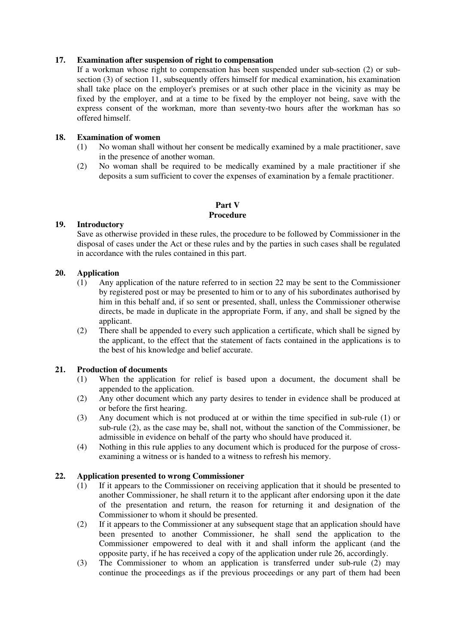#### **17. Examination after suspension of right to compensation**

If a workman whose right to compensation has been suspended under sub-section (2) or subsection (3) of section 11, subsequently offers himself for medical examination, his examination shall take place on the employer's premises or at such other place in the vicinity as may be fixed by the employer, and at a time to be fixed by the employer not being, save with the express consent of the workman, more than seventy-two hours after the workman has so offered himself.

#### **18. Examination of women**

- (1) No woman shall without her consent be medically examined by a male practitioner, save in the presence of another woman.
- (2) No woman shall be required to be medically examined by a male practitioner if she deposits a sum sufficient to cover the expenses of examination by a female practitioner.

# **Part V Procedure**

#### **19. Introductory**

Save as otherwise provided in these rules, the procedure to be followed by Commissioner in the disposal of cases under the Act or these rules and by the parties in such cases shall be regulated in accordance with the rules contained in this part.

#### **20. Application**

- (1) Any application of the nature referred to in section 22 may be sent to the Commissioner by registered post or may be presented to him or to any of his subordinates authorised by him in this behalf and, if so sent or presented, shall, unless the Commissioner otherwise directs, be made in duplicate in the appropriate Form, if any, and shall be signed by the applicant.
- (2) There shall be appended to every such application a certificate, which shall be signed by the applicant, to the effect that the statement of facts contained in the applications is to the best of his knowledge and belief accurate.

#### **21. Production of documents**

- (1) When the application for relief is based upon a document, the document shall be appended to the application.
- (2) Any other document which any party desires to tender in evidence shall be produced at or before the first hearing.
- (3) Any document which is not produced at or within the time specified in sub-rule (1) or sub-rule (2), as the case may be, shall not, without the sanction of the Commissioner, be admissible in evidence on behalf of the party who should have produced it.
- (4) Nothing in this rule applies to any document which is produced for the purpose of crossexamining a witness or is handed to a witness to refresh his memory.

#### **22. Application presented to wrong Commissioner**

- (1) If it appears to the Commissioner on receiving application that it should be presented to another Commissioner, he shall return it to the applicant after endorsing upon it the date of the presentation and return, the reason for returning it and designation of the Commissioner to whom it should be presented.
- (2) If it appears to the Commissioner at any subsequent stage that an application should have been presented to another Commissioner, he shall send the application to the Commissioner empowered to deal with it and shall inform the applicant (and the opposite party, if he has received a copy of the application under rule 26, accordingly.
- (3) The Commissioner to whom an application is transferred under sub-rule (2) may continue the proceedings as if the previous proceedings or any part of them had been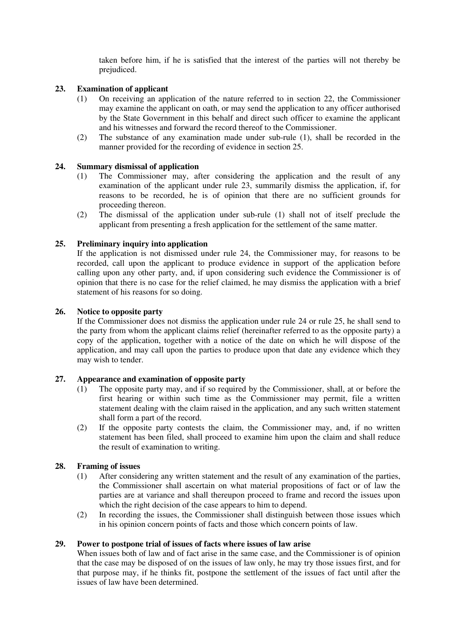taken before him, if he is satisfied that the interest of the parties will not thereby be prejudiced.

#### **23. Examination of applicant**

- (1) On receiving an application of the nature referred to in section 22, the Commissioner may examine the applicant on oath, or may send the application to any officer authorised by the State Government in this behalf and direct such officer to examine the applicant and his witnesses and forward the record thereof to the Commissioner.
- (2) The substance of any examination made under sub-rule (1), shall be recorded in the manner provided for the recording of evidence in section 25.

#### **24. Summary dismissal of application**

- (1) The Commissioner may, after considering the application and the result of any examination of the applicant under rule 23, summarily dismiss the application, if, for reasons to be recorded, he is of opinion that there are no sufficient grounds for proceeding thereon.
- (2) The dismissal of the application under sub-rule (1) shall not of itself preclude the applicant from presenting a fresh application for the settlement of the same matter.

#### **25. Preliminary inquiry into application**

If the application is not dismissed under rule 24, the Commissioner may, for reasons to be recorded, call upon the applicant to produce evidence in support of the application before calling upon any other party, and, if upon considering such evidence the Commissioner is of opinion that there is no case for the relief claimed, he may dismiss the application with a brief statement of his reasons for so doing.

#### **26. Notice to opposite party**

If the Commissioner does not dismiss the application under rule 24 or rule 25, he shall send to the party from whom the applicant claims relief (hereinafter referred to as the opposite party) a copy of the application, together with a notice of the date on which he will dispose of the application, and may call upon the parties to produce upon that date any evidence which they may wish to tender.

#### **27. Appearance and examination of opposite party**

- (1) The opposite party may, and if so required by the Commissioner, shall, at or before the first hearing or within such time as the Commissioner may permit, file a written statement dealing with the claim raised in the application, and any such written statement shall form a part of the record.
- (2) If the opposite party contests the claim, the Commissioner may, and, if no written statement has been filed, shall proceed to examine him upon the claim and shall reduce the result of examination to writing.

#### **28. Framing of issues**

- (1) After considering any written statement and the result of any examination of the parties, the Commissioner shall ascertain on what material propositions of fact or of law the parties are at variance and shall thereupon proceed to frame and record the issues upon which the right decision of the case appears to him to depend.
- (2) In recording the issues, the Commissioner shall distinguish between those issues which in his opinion concern points of facts and those which concern points of law.

#### **29. Power to postpone trial of issues of facts where issues of law arise**

When issues both of law and of fact arise in the same case, and the Commissioner is of opinion that the case may be disposed of on the issues of law only, he may try those issues first, and for that purpose may, if he thinks fit, postpone the settlement of the issues of fact until after the issues of law have been determined.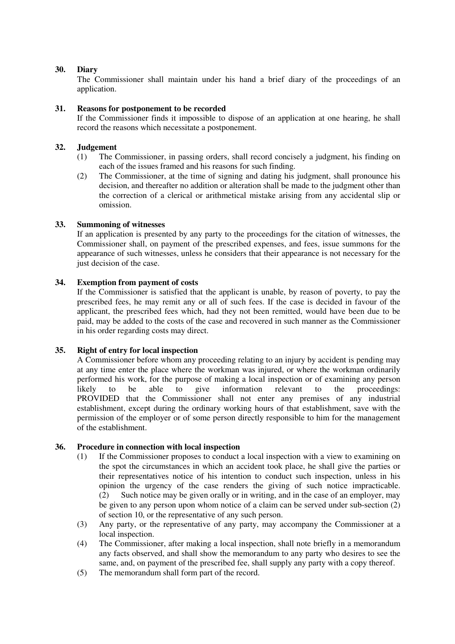## **30. Diary**

The Commissioner shall maintain under his hand a brief diary of the proceedings of an application.

#### **31. Reasons for postponement to be recorded**

If the Commissioner finds it impossible to dispose of an application at one hearing, he shall record the reasons which necessitate a postponement.

#### **32. Judgement**

- (1) The Commissioner, in passing orders, shall record concisely a judgment, his finding on each of the issues framed and his reasons for such finding.
- (2) The Commissioner, at the time of signing and dating his judgment, shall pronounce his decision, and thereafter no addition or alteration shall be made to the judgment other than the correction of a clerical or arithmetical mistake arising from any accidental slip or omission.

#### **33. Summoning of witnesses**

If an application is presented by any party to the proceedings for the citation of witnesses, the Commissioner shall, on payment of the prescribed expenses, and fees, issue summons for the appearance of such witnesses, unless he considers that their appearance is not necessary for the just decision of the case.

#### **34. Exemption from payment of costs**

If the Commissioner is satisfied that the applicant is unable, by reason of poverty, to pay the prescribed fees, he may remit any or all of such fees. If the case is decided in favour of the applicant, the prescribed fees which, had they not been remitted, would have been due to be paid, may be added to the costs of the case and recovered in such manner as the Commissioner in his order regarding costs may direct.

### **35. Right of entry for local inspection**

A Commissioner before whom any proceeding relating to an injury by accident is pending may at any time enter the place where the workman was injured, or where the workman ordinarily performed his work, for the purpose of making a local inspection or of examining any person likely to be able to give information relevant to the proceedings: PROVIDED that the Commissioner shall not enter any premises of any industrial establishment, except during the ordinary working hours of that establishment, save with the permission of the employer or of some person directly responsible to him for the management of the establishment.

# **36. Procedure in connection with local inspection**

- (1) If the Commissioner proposes to conduct a local inspection with a view to examining on the spot the circumstances in which an accident took place, he shall give the parties or their representatives notice of his intention to conduct such inspection, unless in his opinion the urgency of the case renders the giving of such notice impracticable. (2) Such notice may be given orally or in writing, and in the case of an employer, may be given to any person upon whom notice of a claim can be served under sub-section (2) of section 10, or the representative of any such person.
- (3) Any party, or the representative of any party, may accompany the Commissioner at a local inspection.
- (4) The Commissioner, after making a local inspection, shall note briefly in a memorandum any facts observed, and shall show the memorandum to any party who desires to see the same, and, on payment of the prescribed fee, shall supply any party with a copy thereof.
- (5) The memorandum shall form part of the record.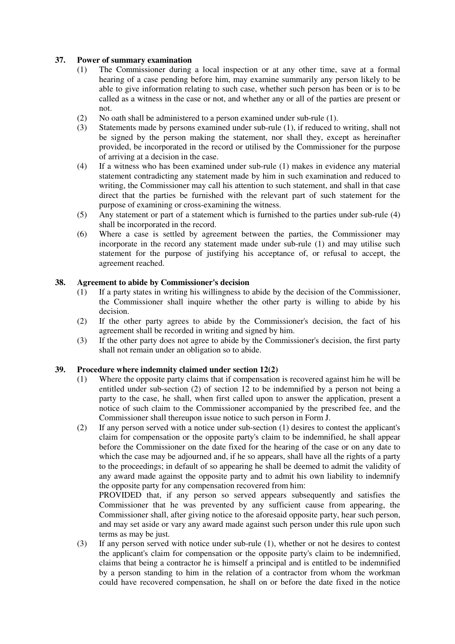# **37. Power of summary examination**

- (1) The Commissioner during a local inspection or at any other time, save at a formal hearing of a case pending before him, may examine summarily any person likely to be able to give information relating to such case, whether such person has been or is to be called as a witness in the case or not, and whether any or all of the parties are present or not.
- (2) No oath shall be administered to a person examined under sub-rule (1).
- (3) Statements made by persons examined under sub-rule (1), if reduced to writing, shall not be signed by the person making the statement, nor shall they, except as hereinafter provided, be incorporated in the record or utilised by the Commissioner for the purpose of arriving at a decision in the case.
- (4) If a witness who has been examined under sub-rule (1) makes in evidence any material statement contradicting any statement made by him in such examination and reduced to writing, the Commissioner may call his attention to such statement, and shall in that case direct that the parties be furnished with the relevant part of such statement for the purpose of examining or cross-examining the witness.
- (5) Any statement or part of a statement which is furnished to the parties under sub-rule (4) shall be incorporated in the record.
- (6) Where a case is settled by agreement between the parties, the Commissioner may incorporate in the record any statement made under sub-rule (1) and may utilise such statement for the purpose of justifying his acceptance of, or refusal to accept, the agreement reached.

#### **38. Agreement to abide by Commissioner's decision**

- (1) If a party states in writing his willingness to abide by the decision of the Commissioner, the Commissioner shall inquire whether the other party is willing to abide by his decision.
- (2) If the other party agrees to abide by the Commissioner's decision, the fact of his agreement shall be recorded in writing and signed by him.
- (3) If the other party does not agree to abide by the Commissioner's decision, the first party shall not remain under an obligation so to abide.

#### **39. Procedure where indemnity claimed under section 12(2)**

- (1) Where the opposite party claims that if compensation is recovered against him he will be entitled under sub-section (2) of section 12 to be indemnified by a person not being a party to the case, he shall, when first called upon to answer the application, present a notice of such claim to the Commissioner accompanied by the prescribed fee, and the Commissioner shall thereupon issue notice to such person in Form J.
- (2) If any person served with a notice under sub-section (1) desires to contest the applicant's claim for compensation or the opposite party's claim to be indemnified, he shall appear before the Commissioner on the date fixed for the hearing of the case or on any date to which the case may be adjourned and, if he so appears, shall have all the rights of a party to the proceedings; in default of so appearing he shall be deemed to admit the validity of any award made against the opposite party and to admit his own liability to indemnify the opposite party for any compensation recovered from him:

PROVIDED that, if any person so served appears subsequently and satisfies the Commissioner that he was prevented by any sufficient cause from appearing, the Commissioner shall, after giving notice to the aforesaid opposite party, hear such person, and may set aside or vary any award made against such person under this rule upon such terms as may be just.

(3) If any person served with notice under sub-rule (1), whether or not he desires to contest the applicant's claim for compensation or the opposite party's claim to be indemnified, claims that being a contractor he is himself a principal and is entitled to be indemnified by a person standing to him in the relation of a contractor from whom the workman could have recovered compensation, he shall on or before the date fixed in the notice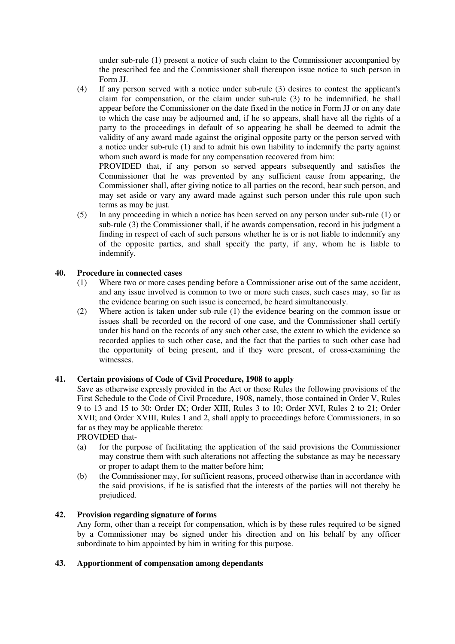under sub-rule (1) present a notice of such claim to the Commissioner accompanied by the prescribed fee and the Commissioner shall thereupon issue notice to such person in Form JJ.

(4) If any person served with a notice under sub-rule (3) desires to contest the applicant's claim for compensation, or the claim under sub-rule (3) to be indemnified, he shall appear before the Commissioner on the date fixed in the notice in Form JJ or on any date to which the case may be adjourned and, if he so appears, shall have all the rights of a party to the proceedings in default of so appearing he shall be deemed to admit the validity of any award made against the original opposite party or the person served with a notice under sub-rule (1) and to admit his own liability to indemnify the party against whom such award is made for any compensation recovered from him:

PROVIDED that, if any person so served appears subsequently and satisfies the Commissioner that he was prevented by any sufficient cause from appearing, the Commissioner shall, after giving notice to all parties on the record, hear such person, and may set aside or vary any award made against such person under this rule upon such terms as may be just.

(5) In any proceeding in which a notice has been served on any person under sub-rule (1) or sub-rule (3) the Commissioner shall, if he awards compensation, record in his judgment a finding in respect of each of such persons whether he is or is not liable to indemnify any of the opposite parties, and shall specify the party, if any, whom he is liable to indemnify.

# **40. Procedure in connected cases**

- (1) Where two or more cases pending before a Commissioner arise out of the same accident, and any issue involved is common to two or more such cases, such cases may, so far as the evidence bearing on such issue is concerned, be heard simultaneously.
- (2) Where action is taken under sub-rule (1) the evidence bearing on the common issue or issues shall be recorded on the record of one case, and the Commissioner shall certify under his hand on the records of any such other case, the extent to which the evidence so recorded applies to such other case, and the fact that the parties to such other case had the opportunity of being present, and if they were present, of cross-examining the witnesses.

# **41. Certain provisions of Code of Civil Procedure, 1908 to apply**

Save as otherwise expressly provided in the Act or these Rules the following provisions of the First Schedule to the Code of Civil Procedure, 1908, namely, those contained in Order V, Rules 9 to 13 and 15 to 30: Order IX; Order XIII, Rules 3 to 10; Order XVI, Rules 2 to 21; Order XVII; and Order XVIII, Rules 1 and 2, shall apply to proceedings before Commissioners, in so far as they may be applicable thereto:

PROVIDED that-

- (a) for the purpose of facilitating the application of the said provisions the Commissioner may construe them with such alterations not affecting the substance as may be necessary or proper to adapt them to the matter before him;
- (b) the Commissioner may, for sufficient reasons, proceed otherwise than in accordance with the said provisions, if he is satisfied that the interests of the parties will not thereby be prejudiced.

#### **42. Provision regarding signature of forms**

Any form, other than a receipt for compensation, which is by these rules required to be signed by a Commissioner may be signed under his direction and on his behalf by any officer subordinate to him appointed by him in writing for this purpose.

#### **43. Apportionment of compensation among dependants**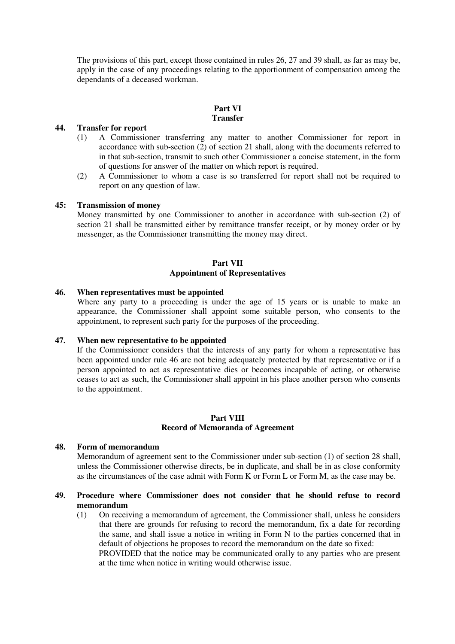The provisions of this part, except those contained in rules 26, 27 and 39 shall, as far as may be, apply in the case of any proceedings relating to the apportionment of compensation among the dependants of a deceased workman.

#### **Part VI Transfer**

#### **44. Transfer for report**

- (1) A Commissioner transferring any matter to another Commissioner for report in accordance with sub-section (2) of section 21 shall, along with the documents referred to in that sub-section, transmit to such other Commissioner a concise statement, in the form of questions for answer of the matter on which report is required.
- (2) A Commissioner to whom a case is so transferred for report shall not be required to report on any question of law.

#### **45: Transmission of money**

Money transmitted by one Commissioner to another in accordance with sub-section (2) of section 21 shall be transmitted either by remittance transfer receipt, or by money order or by messenger, as the Commissioner transmitting the money may direct.

#### **Part VII Appointment of Representatives**

#### **46. When representatives must be appointed**

Where any party to a proceeding is under the age of 15 years or is unable to make an appearance, the Commissioner shall appoint some suitable person, who consents to the appointment, to represent such party for the purposes of the proceeding.

#### **47. When new representative to be appointed**

If the Commissioner considers that the interests of any party for whom a representative has been appointed under rule 46 are not being adequately protected by that representative or if a person appointed to act as representative dies or becomes incapable of acting, or otherwise ceases to act as such, the Commissioner shall appoint in his place another person who consents to the appointment.

#### **Part VIII Record of Memoranda of Agreement**

#### **48. Form of memorandum**

Memorandum of agreement sent to the Commissioner under sub-section (1) of section 28 shall, unless the Commissioner otherwise directs, be in duplicate, and shall be in as close conformity as the circumstances of the case admit with Form K or Form L or Form M, as the case may be.

#### **49. Procedure where Commissioner does not consider that he should refuse to record memorandum**

(1) On receiving a memorandum of agreement, the Commissioner shall, unless he considers that there are grounds for refusing to record the memorandum, fix a date for recording the same, and shall issue a notice in writing in Form N to the parties concerned that in default of objections he proposes to record the memorandum on the date so fixed: PROVIDED that the notice may be communicated orally to any parties who are present at the time when notice in writing would otherwise issue.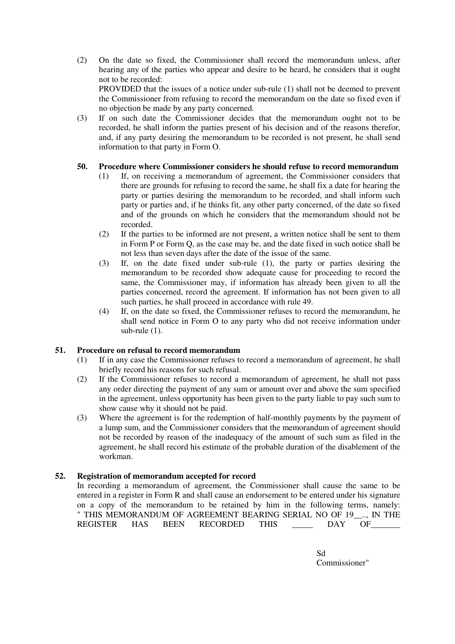(2) On the date so fixed, the Commissioner shall record the memorandum unless, after hearing any of the parties who appear and desire to be heard, he considers that it ought not to be recorded: PROVIDED that the issues of a notice under sub-rule (1) shall not be deemed to prevent

the Commissioner from refusing to record the memorandum on the date so fixed even if no objection be made by any party concerned.

(3) If on such date the Commissioner decides that the memorandum ought not to be recorded, he shall inform the parties present of his decision and of the reasons therefor, and, if any party desiring the memorandum to be recorded is not present, he shall send information to that party in Form O.

# **50. Procedure where Commissioner considers he should refuse to record memorandum**

- (1) If, on receiving a memorandum of agreement, the Commissioner considers that there are grounds for refusing to record the same, he shall fix a date for hearing the party or parties desiring the memorandum to be recorded, and shall inform such party or parties and, if he thinks fit, any other party concerned, of the date so fixed and of the grounds on which he considers that the memorandum should not be recorded.
- (2) If the parties to be informed are not present, a written notice shall be sent to them in Form P or Form Q, as the case may be, and the date fixed in such notice shall be not less than seven days after the date of the issue of the same.
- (3) If, on the date fixed under sub-rule (1), the party or parties desiring the memorandum to be recorded show adequate cause for proceeding to record the same, the Commissioner may, if information has already been given to all the parties concerned, record the agreement. If information has not been given to all such parties, he shall proceed in accordance with rule 49.
- (4) If, on the date so fixed, the Commissioner refuses to record the memorandum, he shall send notice in Form O to any party who did not receive information under sub-rule (1).

#### **51. Procedure on refusal to record memorandum**

- (1) If in any case the Commissioner refuses to record a memorandum of agreement, he shall briefly record his reasons for such refusal.
- (2) If the Commissioner refuses to record a memorandum of agreement, he shall not pass any order directing the payment of any sum or amount over and above the sum specified in the agreement, unless opportunity has been given to the party liable to pay such sum to show cause why it should not be paid.
- (3) Where the agreement is for the redemption of half-monthly payments by the payment of a lump sum, and the Commissioner considers that the memorandum of agreement should not be recorded by reason of the inadequacy of the amount of such sum as filed in the agreement, he shall record his estimate of the probable duration of the disablement of the workman.

#### **52. Registration of memorandum accepted for record**

In recording a memorandum of agreement, the Commissioner shall cause the same to be entered in a register in Form R and shall cause an endorsement to be entered under his signature on a copy of the memorandum to be retained by him in the following terms, namely: " THIS MEMORANDUM OF AGREEMENT BEARING SERIAL NO OF 19\_\_.., IN THE REGISTER HAS BEEN RECORDED THIS  $DAY$  OF

> Sd Commissioner"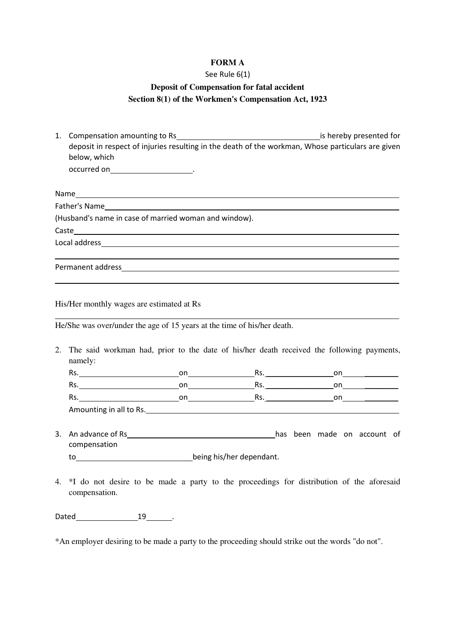# **FORM A**

#### See Rule 6(1)

# **Deposit of Compensation for fatal accident Section 8(1) of the Workmen's Compensation Act, 1923**

1. Compensation amounting to Rs is hereby presented for deposit in respect of injuries resulting in the death of the workman, Whose particulars are given below, which occurred on \_\_\_\_\_\_\_\_\_\_\_\_\_\_\_\_\_\_\_\_\_\_\_\_\_\_\_.

Name and the state of the state of the state of the state of the state of the state of the state of the state of the state of the state of the state of the state of the state of the state of the state of the state of the s Father's Name (Husband's name in case of married woman and window). Caste Local address and the contract of the contract of the contract of the contract of the contract of the contract of the contract of the contract of the contract of the contract of the contract of the contract of the contract Permanent address

His/Her monthly wages are estimated at Rs

He/She was over/under the age of 15 years at the time of his/her death.

2. The said workman had, prior to the date of his/her death received the following payments, namely:

| נכרו.                   | on | .כה | on |
|-------------------------|----|-----|----|
| נכרו.                   | on | ĸs. | on |
| ĸs.                     | nn | ĸs. | or |
| Amounting in all to Rs. |    |     |    |

3. An advance of Rs has been made on account of compensation

to being his/her dependant.

4. \*I do not desire to be made a party to the proceedings for distribution of the aforesaid compensation.

Dated 19 .

\*An employer desiring to be made a party to the proceeding should strike out the words "do not".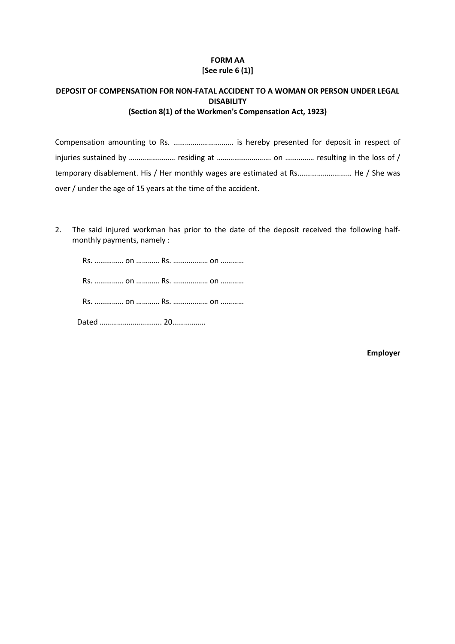# FORM AA [See rule 6 (1)]

# DEPOSIT OF COMPENSATION FOR NON-FATAL ACCIDENT TO A WOMAN OR PERSON UNDER LEGAL DISABILITY (Section 8(1) of the Workmen's Compensation Act, 1923)

Compensation amounting to Rs. …………………………. is hereby presented for deposit in respect of injuries sustained by ……………………… residing at …………………………… on …………… resulting in the loss of / temporary disablement. His / Her monthly wages are estimated at Rs.……………………… He / She was over / under the age of 15 years at the time of the accident.

2. The said injured workman has prior to the date of the deposit received the following halfmonthly payments, namely :

Rs. …………… on ………… Rs. ……………… on …………

Rs. …………… on ………… Rs. ……………… on …………

Rs. …………… on ………… Rs. ……………… on …………

Dated ………………………….. 20……………..

Employer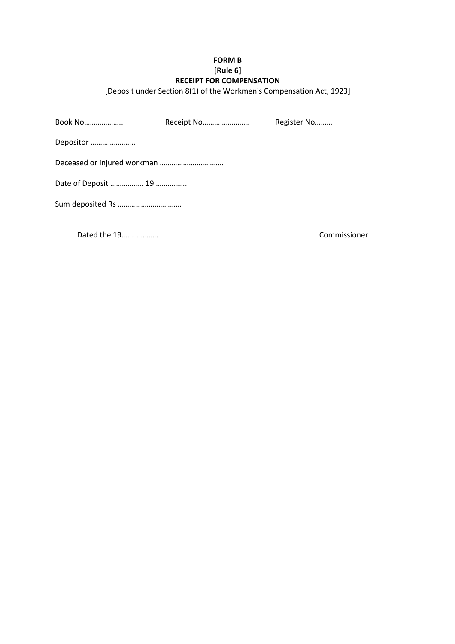# FORM B [Rule 6] RECEIPT FOR COMPENSATION

[Deposit under Section 8(1) of the Workmen's Compensation Act, 1923]

| Book No   | Receipt No | Register No |  |  |
|-----------|------------|-------------|--|--|
| Depositor |            |             |  |  |
|           |            |             |  |  |
|           |            |             |  |  |
|           |            |             |  |  |

Dated the 19………………. Commissioner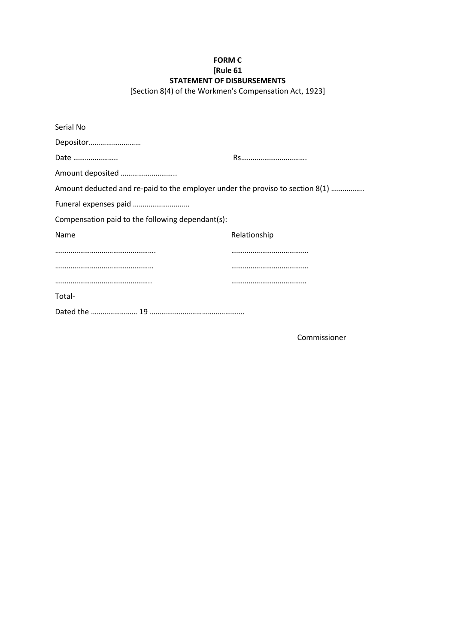# FORM C [Rule 61 STATEMENT OF DISBURSEMENTS

[Section 8(4) of the Workmen's Compensation Act, 1923]

| Serial No                                                                     |              |
|-------------------------------------------------------------------------------|--------------|
| Depositor                                                                     |              |
| Date                                                                          |              |
| Amount deposited                                                              |              |
| Amount deducted and re-paid to the employer under the proviso to section 8(1) |              |
|                                                                               |              |
| Compensation paid to the following dependant(s):                              |              |
| Name                                                                          | Relationship |
|                                                                               |              |
|                                                                               |              |
|                                                                               |              |
| Total-                                                                        |              |
|                                                                               |              |

Commissioner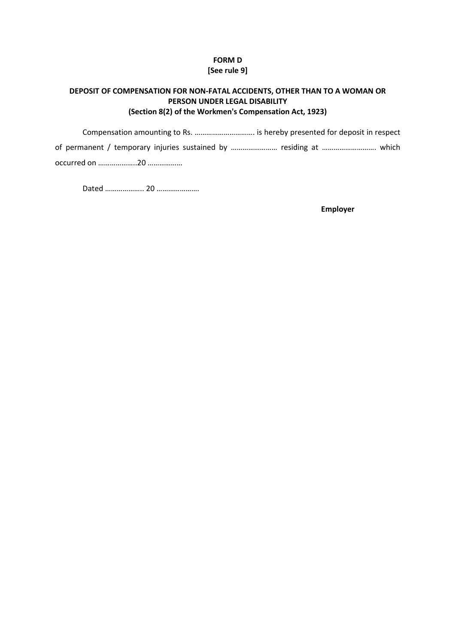# FORM D [See rule 9]

# DEPOSIT OF COMPENSATION FOR NON-FATAL ACCIDENTS, OTHER THAN TO A WOMAN OR PERSON UNDER LEGAL DISABILITY (Section 8(2) of the Workmen's Compensation Act, 1923)

Compensation amounting to Rs. …………………………. is hereby presented for deposit in respect of permanent / temporary injuries sustained by …………………… residing at ………………………. which occurred on ………………..20 ………………

Dated ……………….. 20 ………………….

Employer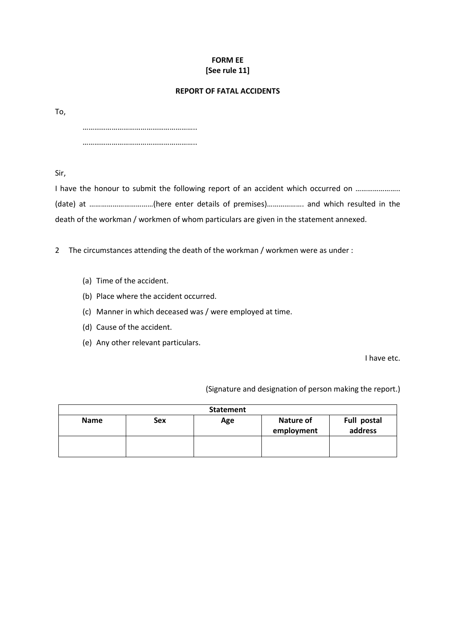# FORM EE [See rule 11]

## REPORT OF FATAL ACCIDENTS

To,

…………………………………………………..

…………………………………………………..

Sir,

I have the honour to submit the following report of an accident which occurred on ........................... (date) at ……………………………(here enter details of premises)………………. and which resulted in the death of the workman / workmen of whom particulars are given in the statement annexed.

2 The circumstances attending the death of the workman / workmen were as under :

- (a) Time of the accident.
- (b) Place where the accident occurred.
- (c) Manner in which deceased was / were employed at time.
- (d) Cause of the accident.
- (e) Any other relevant particulars.

I have etc.

(Signature and designation of person making the report.)

| <b>Statement</b> |            |     |                         |                        |
|------------------|------------|-----|-------------------------|------------------------|
| <b>Name</b>      | <b>Sex</b> | Age | Nature of<br>employment | Full postal<br>address |
|                  |            |     |                         |                        |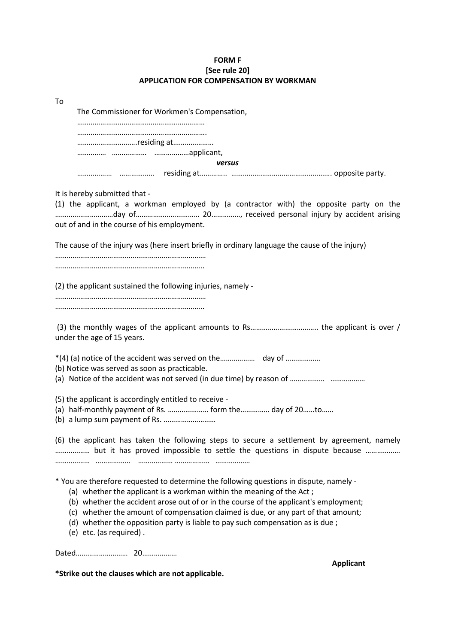# FORM F [See rule 20] APPLICATION FOR COMPENSATION BY WORKMAN

| To                                                                                                                                                                                                                                                                                                                                                                                                                                                           |
|--------------------------------------------------------------------------------------------------------------------------------------------------------------------------------------------------------------------------------------------------------------------------------------------------------------------------------------------------------------------------------------------------------------------------------------------------------------|
| The Commissioner for Workmen's Compensation,                                                                                                                                                                                                                                                                                                                                                                                                                 |
|                                                                                                                                                                                                                                                                                                                                                                                                                                                              |
| residing at                                                                                                                                                                                                                                                                                                                                                                                                                                                  |
|                                                                                                                                                                                                                                                                                                                                                                                                                                                              |
| versus                                                                                                                                                                                                                                                                                                                                                                                                                                                       |
|                                                                                                                                                                                                                                                                                                                                                                                                                                                              |
| It is hereby submitted that -<br>(1) the applicant, a workman employed by (a contractor with) the opposite party on the<br>out of and in the course of his employment.                                                                                                                                                                                                                                                                                       |
| The cause of the injury was (here insert briefly in ordinary language the cause of the injury)                                                                                                                                                                                                                                                                                                                                                               |
|                                                                                                                                                                                                                                                                                                                                                                                                                                                              |
| (2) the applicant sustained the following injuries, namely -                                                                                                                                                                                                                                                                                                                                                                                                 |
| under the age of 15 years.                                                                                                                                                                                                                                                                                                                                                                                                                                   |
| (b) Notice was served as soon as practicable.                                                                                                                                                                                                                                                                                                                                                                                                                |
| (5) the applicant is accordingly entitled to receive -<br>(a) half-monthly payment of Rs.  form the  day of 20to<br>(b) a lump sum payment of Rs.                                                                                                                                                                                                                                                                                                            |
| (6) the applicant has taken the following steps to secure a settlement by agreement, namely<br>but it has proved impossible to settle the questions in dispute because                                                                                                                                                                                                                                                                                       |
| * You are therefore requested to determine the following questions in dispute, namely -<br>(a) whether the applicant is a workman within the meaning of the Act;<br>(b) whether the accident arose out of or in the course of the applicant's employment;<br>(c) whether the amount of compensation claimed is due, or any part of that amount;<br>(d) whether the opposition party is liable to pay such compensation as is due;<br>(e) etc. (as required). |
| <b>Applicant</b>                                                                                                                                                                                                                                                                                                                                                                                                                                             |

\*Strike out the clauses which are not applicable.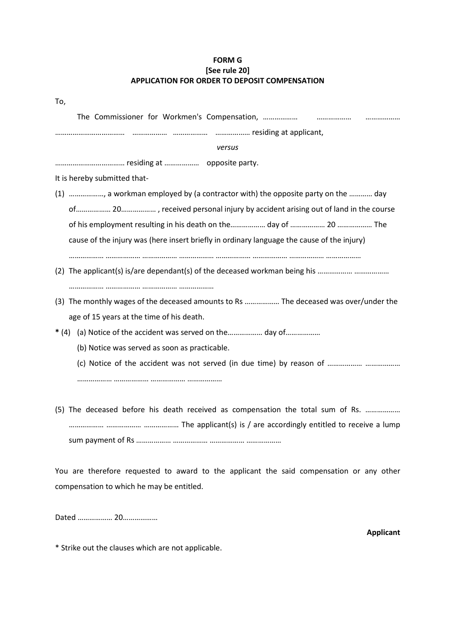# FORM G [See rule 20] APPLICATION FOR ORDER TO DEPOSIT COMPENSATION

| To,                                                                                        |
|--------------------------------------------------------------------------------------------|
|                                                                                            |
|                                                                                            |
| versus                                                                                     |
|                                                                                            |
| It is hereby submitted that-                                                               |
| (1) , a workman employed by (a contractor with) the opposite party on the  day             |
|                                                                                            |
|                                                                                            |
| cause of the injury was (here insert briefly in ordinary language the cause of the injury) |
|                                                                                            |
|                                                                                            |
|                                                                                            |
| (3) The monthly wages of the deceased amounts to Rs  The deceased was over/under the       |
| age of 15 years at the time of his death.                                                  |
| (a) Notice of the accident was served on the day of<br>$*(4)$                              |
| (b) Notice was served as soon as practicable.                                              |
|                                                                                            |
|                                                                                            |
|                                                                                            |
| (5) The deceased before his death received as compensation the total sum of Rs.            |

……………… ……………… ……………… The applicant(s) is / are accordingly entitled to receive a lump sum payment of Rs ……………… ……………… ……………… ………………

You are therefore requested to award to the applicant the said compensation or any other compensation to which he may be entitled.

Dated ……………… 20………………

Applicant

\* Strike out the clauses which are not applicable.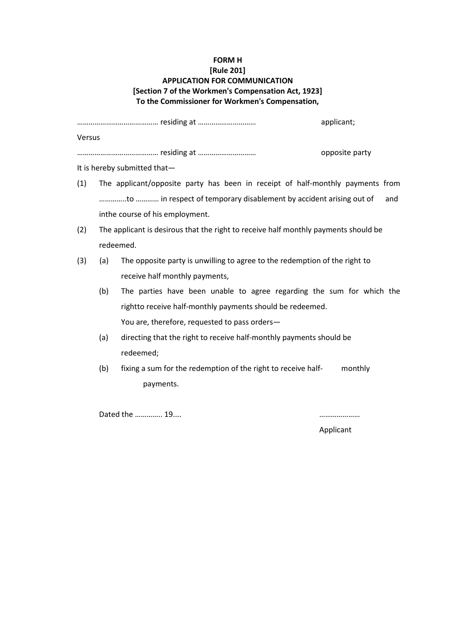# FORM H [Rule 201] APPLICATION FOR COMMUNICATION [Section 7 of the Workmen's Compensation Act, 1923] To the Commissioner for Workmen's Compensation,

|           |     |                                                                                     | opposite party |
|-----------|-----|-------------------------------------------------------------------------------------|----------------|
|           |     | It is hereby submitted that-                                                        |                |
| (1)       |     | The applicant/opposite party has been in receipt of half-monthly payments from      |                |
|           |     | to  in respect of temporary disablement by accident arising out of                  | and            |
|           |     | inthe course of his employment.                                                     |                |
| (2)       |     | The applicant is desirous that the right to receive half monthly payments should be |                |
| redeemed. |     |                                                                                     |                |
| (3)       | (a) | The opposite party is unwilling to agree to the redemption of the right to          |                |
|           |     | receive half monthly payments,                                                      |                |
|           | (b) | The parties have been unable to agree regarding the sum for which the               |                |
|           |     | rightto receive half-monthly payments should be redeemed.                           |                |
|           |     | You are, therefore, requested to pass orders-                                       |                |
|           | (a) | directing that the right to receive half-monthly payments should be                 |                |
|           |     | redeemed;                                                                           |                |
|           | (b) | fixing a sum for the redemption of the right to receive half-                       | monthly        |
|           |     | payments.                                                                           |                |

Dated the ………….. 19.... …………………

Applicant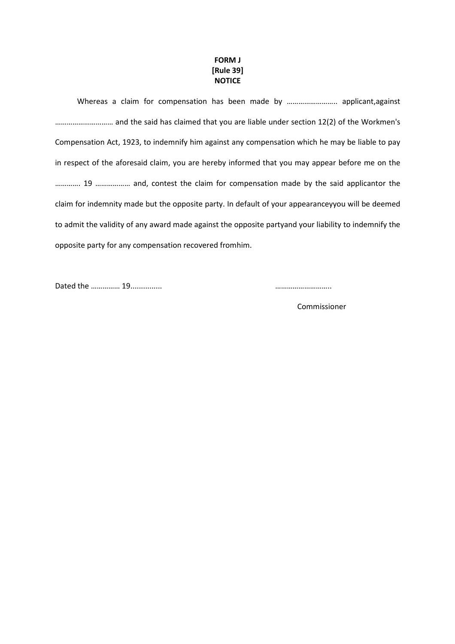# FORM J [Rule 39] **NOTICE**

Whereas a claim for compensation has been made by …………………….. applicant,against ………………………… and the said has claimed that you are liable under section 12(2) of the Workmen's Compensation Act, 1923, to indemnify him against any compensation which he may be liable to pay in respect of the aforesaid claim, you are hereby informed that you may appear before me on the …………. 19 ……………… and, contest the claim for compensation made by the said applicantor the claim for indemnity made but the opposite party. In default of your appearanceyyou will be deemed to admit the validity of any award made against the opposite partyand your liability to indemnify the opposite party for any compensation recovered fromhim.

Dated the …………… 19............... ………………………..

Commissioner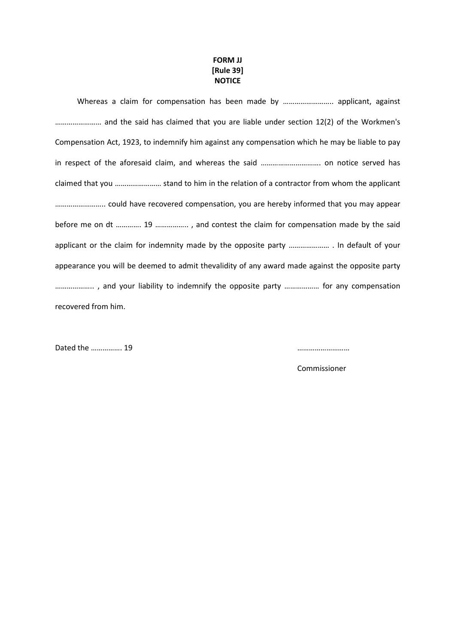# FORM JJ [Rule 39] **NOTICE**

Whereas a claim for compensation has been made by …………………….. applicant, against …………………… and the said has claimed that you are liable under section 12(2) of the Workmen's Compensation Act, 1923, to indemnify him against any compensation which he may be liable to pay in respect of the aforesaid claim, and whereas the said …………………………. on notice served has claimed that you …………………… stand to him in the relation of a contractor from whom the applicant …………………….. could have recovered compensation, you are hereby informed that you may appear before me on dt …………. 19 …………….. , and contest the claim for compensation made by the said applicant or the claim for indemnity made by the opposite party ………………… . In default of your appearance you will be deemed to admit thevalidity of any award made against the opposite party ……………….. , and your liability to indemnify the opposite party ……………… for any compensation recovered from him.

Dated the ……………. 19 ………………………

Commissioner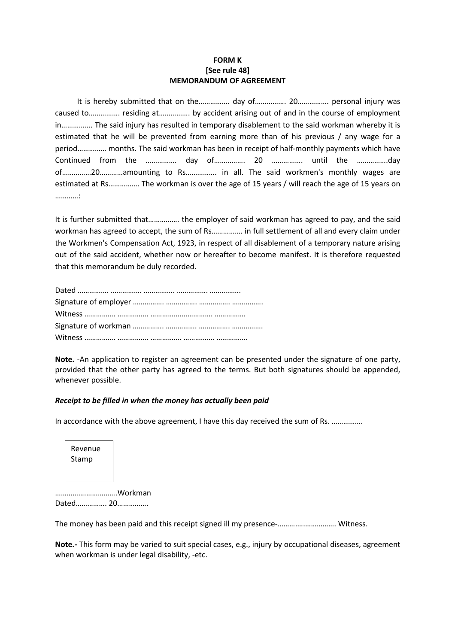# FORM K [See rule 48] MEMORANDUM OF AGREEMENT

 It is hereby submitted that on the……………. day of……………. 20……………. personal injury was caused to……………. residing at……………. by accident arising out of and in the course of employment in……………. The said injury has resulted in temporary disablement to the said workman whereby it is estimated that he will be prevented from earning more than of his previous / any wage for a period…………… months. The said workman has been in receipt of half-monthly payments which have Continued from the ……………. day of……………. 20 ……………. until the …………….day of……………20…………amounting to Rs……………. in all. The said workmen's monthly wages are estimated at Rs……………. The workman is over the age of 15 years / will reach the age of 15 years on …………:

It is further submitted that……………. the employer of said workman has agreed to pay, and the said workman has agreed to accept, the sum of Rs……………. in full settlement of all and every claim under the Workmen's Compensation Act, 1923, in respect of all disablement of a temporary nature arising out of the said accident, whether now or hereafter to become manifest. It is therefore requested that this memorandum be duly recorded.

Note. -An application to register an agreement can be presented under the signature of one party, provided that the other party has agreed to the terms. But both signatures should be appended, whenever possible.

# Receipt to be filled in when the money has actually been paid

In accordance with the above agreement, I have this day received the sum of Rs. …………….

| Revenue |
|---------|
| Stamp   |
|         |

…………….…………….Workman Dated……………. 20…………….

The money has been paid and this receipt signed ill my presence-……….….……………. Witness.

Note.- This form may be varied to suit special cases, e.g., injury by occupational diseases, agreement when workman is under legal disability, -etc.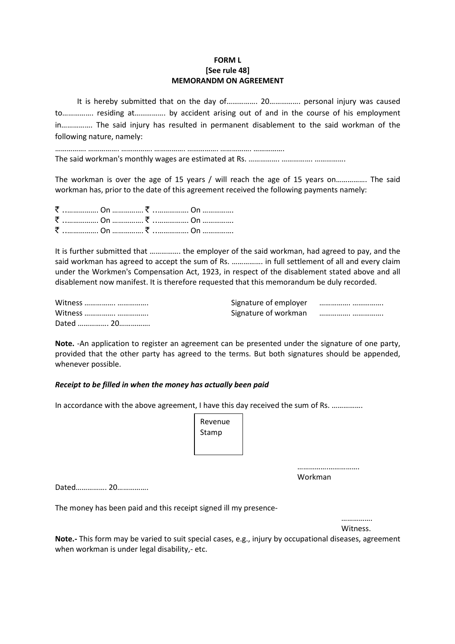# FORM L [See rule 48] MEMORANDM ON AGREEMENT

It is hereby submitted that on the day of……………. 20……………. personal injury was caused to……………. residing at……………. by accident arising out of and in the course of his employment in……………. The said injury has resulted in permanent disablement to the said workman of the following nature, namely:

……………. ……………. ……………. ……………. ……………. ……………. ……………. The said workman's monthly wages are estimated at Rs. ……………. ……………. …………….

The workman is over the age of 15 years / will reach the age of 15 years on………………. The said workman has, prior to the date of this agreement received the following payments namely:

It is further submitted that ……………. the employer of the said workman, had agreed to pay, and the said workman has agreed to accept the sum of Rs. ……………. in full settlement of all and every claim under the Workmen's Compensation Act, 1923, in respect of the disablement stated above and all disablement now manifest. It is therefore requested that this memorandum be duly recorded.

| Witness   |  |
|-----------|--|
| Witness   |  |
| Dated  20 |  |

Note. -An application to register an agreement can be presented under the signature of one party, provided that the other party has agreed to the terms. But both signatures should be appended, whenever possible.

#### Receipt to be filled in when the money has actually been paid

In accordance with the above agreement, I have this day received the sum of Rs. ................

| Revenue |  |
|---------|--|
| Stamp   |  |
|         |  |
|         |  |
|         |  |

Workman

…………………………………

Dated……………. 20…………….

The money has been paid and this receipt signed ill my presence-

…………… Witness.

Note.- This form may be varied to suit special cases, e.g., injury by occupational diseases, agreement when workman is under legal disability,- etc.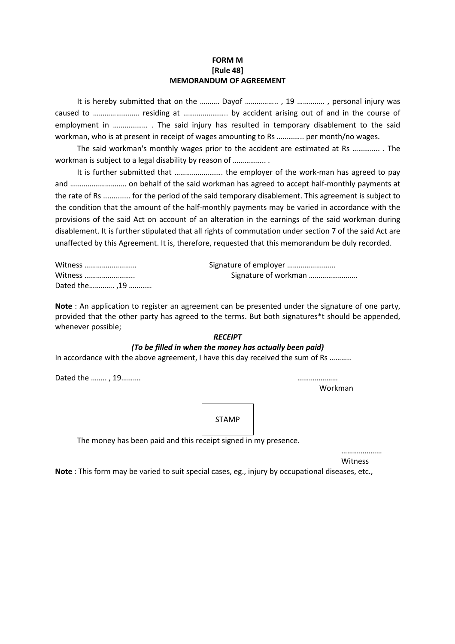# FORM M [Rule 48] MEMORANDUM OF AGREEMENT

It is hereby submitted that on the ………. Dayof …………….. , 19 ………….. , personal injury was caused to …………………… residing at ………………….. by accident arising out of and in the course of employment in ……………… . The said injury has resulted in temporary disablement to the said workman, who is at present in receipt of wages amounting to Rs ………….. per month/no wages.

The said workman's monthly wages prior to the accident are estimated at Rs ………….. . The workman is subject to a legal disability by reason of ...................

It is further submitted that ……………………. the employer of the work-man has agreed to pay and ……………………….. on behalf of the said workman has agreed to accept half-monthly payments at the rate of Rs ............. for the period of the said temporary disablement. This agreement is subject to the condition that the amount of the half-monthly payments may be varied in accordance with the provisions of the said Act on account of an alteration in the earnings of the said workman during disablement. It is further stipulated that all rights of commutation under section 7 of the said Act are unaffected by this Agreement. It is, therefore, requested that this memorandum be duly recorded.

| Witness      | Signature of employer |
|--------------|-----------------------|
| Witness      | Signature of workman  |
| Dated the 19 |                       |

Note : An application to register an agreement can be presented under the signature of one party, provided that the other party has agreed to the terms. But both signatures\*t should be appended, whenever possible;

# **RECEIPT**

# (To be filled in when the money has actually been paid)

In accordance with the above agreement, I have this day received the sum of Rs ………..

Dated the …….. , 19………. …………………

Workman

STAMP

The money has been paid and this receipt signed in my presence.

……………………… **Witness** 

Note : This form may be varied to suit special cases, eg., injury by occupational diseases, etc.,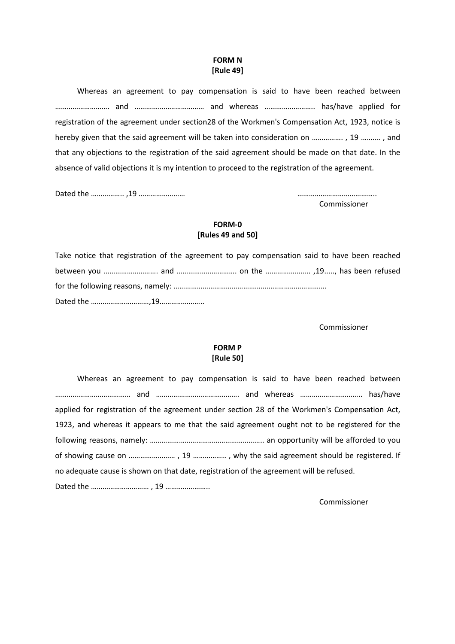### FORM N [Rule 49]

Whereas an agreement to pay compensation is said to have been reached between ………………………. and ……………………………… and whereas …………………….. has/have applied for registration of the agreement under section28 of the Workmen's Compensation Act, 1923, notice is hereby given that the said agreement will be taken into consideration on ……………. , 19 ………. , and that any objections to the registration of the said agreement should be made on that date. In the absence of valid objections it is my intention to proceed to the registration of the agreement.

Dated the …………….. ,19 …………………… …………………………………..

Commissioner

# FORM-0 [Rules 49 and 50]

| Take notice that registration of the agreement to pay compensation said to have been reached |  |  |
|----------------------------------------------------------------------------------------------|--|--|
|                                                                                              |  |  |
|                                                                                              |  |  |
|                                                                                              |  |  |

Commissioner

# FORM P [Rule 50]

| Whereas an agreement to pay compensation is said to have been reached between                 |  |  |  |  |  |  |
|-----------------------------------------------------------------------------------------------|--|--|--|--|--|--|
|                                                                                               |  |  |  |  |  |  |
| applied for registration of the agreement under section 28 of the Workmen's Compensation Act, |  |  |  |  |  |  |
| 1923, and whereas it appears to me that the said agreement ought not to be registered for the |  |  |  |  |  |  |
|                                                                                               |  |  |  |  |  |  |
|                                                                                               |  |  |  |  |  |  |
| no adequate cause is shown on that date, registration of the agreement will be refused.       |  |  |  |  |  |  |
|                                                                                               |  |  |  |  |  |  |

Commissioner